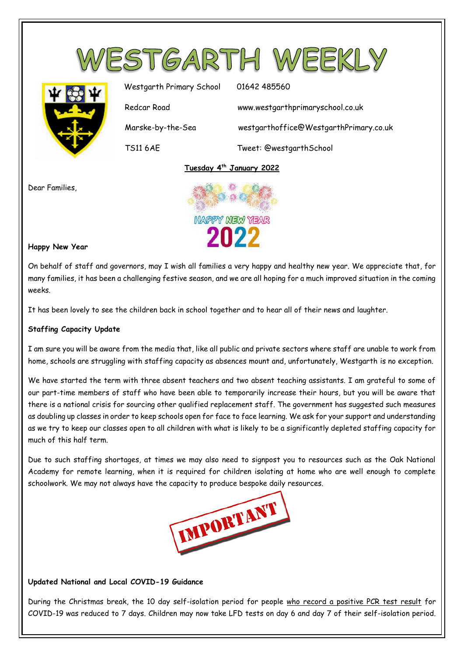



Westgarth Primary School 01642 485560 Redcar Road www.westgarthprimaryschool.co.uk Marske-by-the-Sea westgarthoffice@WestgarthPrimary.co.uk TS11 6AE Tweet: @westgarthSchool

## **Tuesday 4 th January 2022**



Dear Families,



## **Happy New Year**

On behalf of staff and governors, may I wish all families a very happy and healthy new year. We appreciate that, for many families, it has been a challenging festive season, and we are all hoping for a much improved situation in the coming weeks.

It has been lovely to see the children back in school together and to hear all of their news and laughter.

## **Staffing Capacity Update**

I am sure you will be aware from the media that, like all public and private sectors where staff are unable to work from home, schools are struggling with staffing capacity as absences mount and, unfortunately, Westgarth is no exception.

We have started the term with three absent teachers and two absent teaching assistants. I am grateful to some of our part-time members of staff who have been able to temporarily increase their hours, but you will be aware that there is a national crisis for sourcing other qualified replacement staff. The government has suggested such measures as doubling up classes in order to keep schools open for face to face learning. We ask for your support and understanding as we try to keep our classes open to all children with what is likely to be a significantly depleted staffing capacity for much of this half term.

Due to such staffing shortages, at times we may also need to signpost you to resources such as the Oak National Academy for remote learning, when it is required for children isolating at home who are well enough to complete schoolwork. We may not always have the capacity to produce bespoke daily resources.



## **Updated National and Local COVID-19 Guidance**

During the Christmas break, the 10 day self-isolation period for people who record a positive PCR test result for COVID-19 was reduced to 7 days. Children may now take LFD tests on day 6 and day 7 of their self-isolation period.